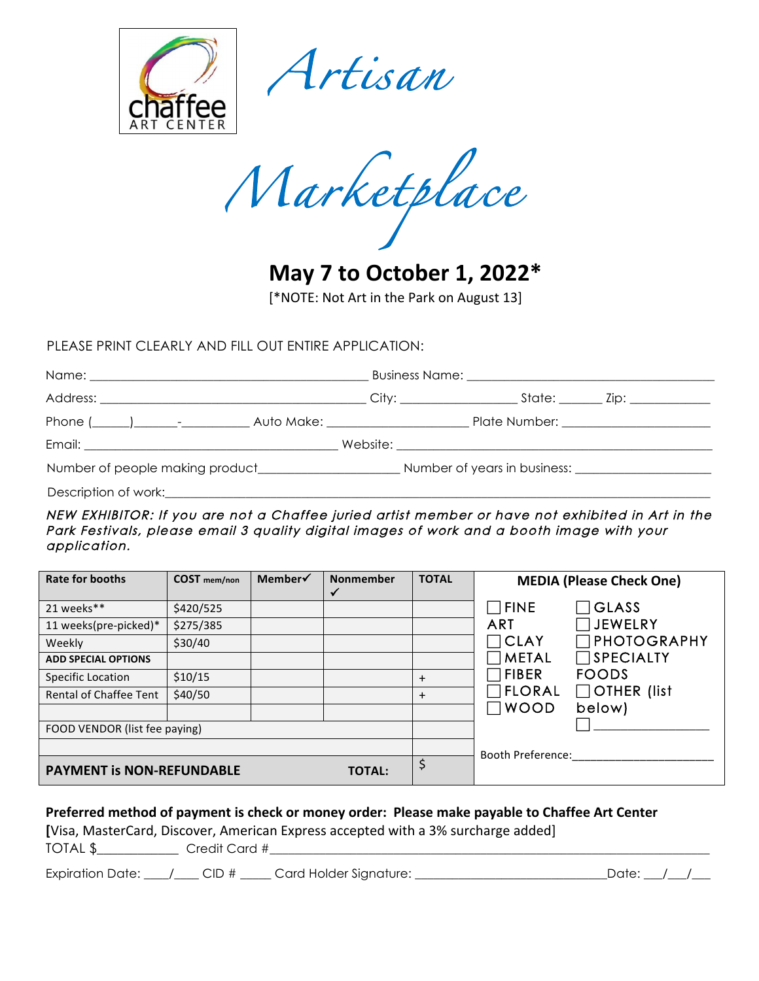

*Artisan* 

*Marketplace* 

**May 7 to October 1, 2022\*** [\*NOTE: Not Art in the Park on August 13]

PLEASE PRINT CLEARLY AND FILL OUT ENTIRE APPLICATION:

| Description of work: |  |  |  |  |  |
|----------------------|--|--|--|--|--|

NEW EXHIBITOR: If you are not a Chaffee juried artist member or have not exhibited in Art in the Park Festivals, please email 3 quality digital images of work and a booth image with your application.

| <b>Rate for booths</b>           | <b>COST</b> mem/non | Member√ | <b>Nonmember</b><br>✓ | <b>TOTAL</b> | <b>MEDIA (Please Check One)</b>     |
|----------------------------------|---------------------|---------|-----------------------|--------------|-------------------------------------|
| 21 weeks**                       | \$420/525           |         |                       |              | <b>GLASS</b><br>$\sqcap$ fine       |
| 11 weeks(pre-picked)*            | \$275/385           |         |                       |              | $\sqcap$ JEWELRY<br><b>ART</b>      |
| Weekly                           | \$30/40             |         |                       |              | <b>PHOTOGRAPHY</b><br><b>CLAY</b>   |
| <b>ADD SPECIAL OPTIONS</b>       |                     |         |                       |              | $\Box$ SPECIALTY<br><b>METAL</b>    |
| Specific Location                | \$10/15             |         |                       | $\ddot{}$    | <b>FIBER</b><br><b>FOODS</b>        |
| <b>Rental of Chaffee Tent</b>    | \$40/50             |         |                       | $\ddot{}$    | $\Box$ OTHER (list<br><b>FLORAL</b> |
|                                  |                     |         |                       |              | <b>WOOD</b><br>below)               |
| FOOD VENDOR (list fee paying)    |                     |         |                       |              |                                     |
|                                  |                     |         |                       |              | <b>Booth Preference:</b>            |
| <b>PAYMENT is NON-REFUNDABLE</b> |                     |         | <b>TOTAL:</b>         | Ş            |                                     |

## **Preferred method of payment is check or money order: Please make payable to Chaffee Art Center**

[Visa, MasterCard, Discover, American Express accepted with a 3% surcharge added]

TOTAL \$\_\_\_\_\_\_\_\_\_\_\_\_ Credit Card #\_\_\_\_\_\_\_\_\_\_\_\_\_\_\_\_\_\_\_\_\_\_\_\_\_\_\_\_\_\_\_\_\_\_\_\_\_\_\_\_\_\_\_\_\_\_\_\_\_\_\_\_\_\_\_\_\_\_\_\_\_\_\_\_\_\_\_\_\_\_\_

Expiration Date:  $\frac{1}{2}$  CID #  $\frac{1}{2}$  Card Holder Signature:  $\frac{1}{2}$  Date:  $\frac{1}{2}$  Date:  $\frac{1}{2}$